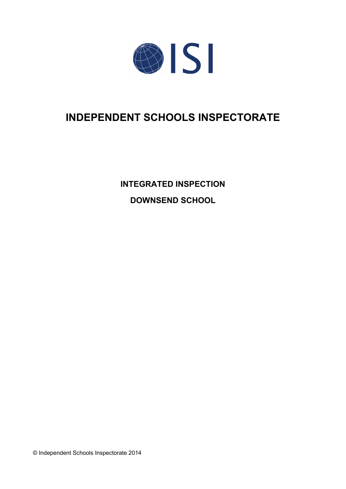

# **INDEPENDENT SCHOOLS INSPECTORATE**

**INTEGRATED INSPECTION DOWNSEND SCHOOL**

© Independent Schools Inspectorate 2014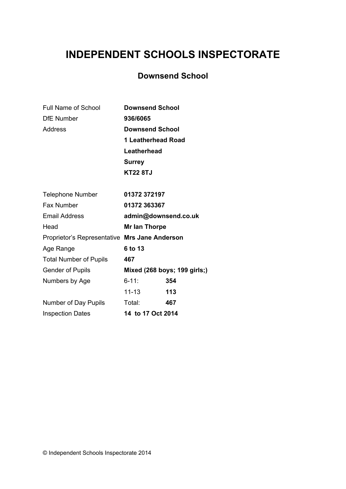# **INDEPENDENT SCHOOLS INSPECTORATE**

# **Downsend School**

| <b>Full Name of School</b>                    | <b>Downsend School</b>       |
|-----------------------------------------------|------------------------------|
| <b>DfE Number</b>                             | 936/6065                     |
| <b>Address</b>                                | <b>Downsend School</b>       |
|                                               | 1 Leatherhead Road           |
|                                               | Leatherhead                  |
|                                               | <b>Surrey</b>                |
|                                               | <b>KT22 8TJ</b>              |
| <b>Telephone Number</b>                       | 01372 372197                 |
| Fax Number                                    | 01372 363367                 |
| <b>Email Address</b>                          | admin@downsend.co.uk         |
| Head                                          | Mr Ian Thorpe                |
| Proprietor's Representative Mrs Jane Anderson |                              |
| Age Range                                     | 6 to 13                      |
| <b>Total Number of Pupils</b>                 | 467                          |
| <b>Gender of Pupils</b>                       | Mixed (268 boys; 199 girls;) |
| Numbers by Age                                | $6 - 11$ :<br>354            |
|                                               | 11-13<br>113                 |
| Number of Day Pupils                          | Total:<br>467                |
| <b>Inspection Dates</b>                       | 14 to 17 Oct 2014            |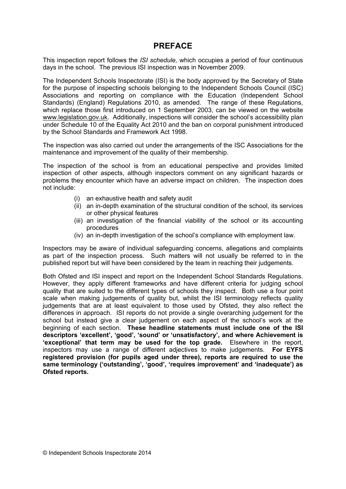## **PREFACE**

This inspection report follows the *ISI schedule,* which occupies a period of four continuous days in the school. The previous ISI inspection was in November 2009.

The Independent Schools Inspectorate (ISI) is the body approved by the Secretary of State for the purpose of inspecting schools belonging to the Independent Schools Council (ISC) Associations and reporting on compliance with the Education (Independent School Standards) (England) Regulations 2010, as amended. The range of these Regulations, which replace those first introduced on 1 September 2003, can be viewed on the website [www.legislation.gov.uk.](http://www.legislation.gov.uk) Additionally, inspections will consider the school's accessibility plan under Schedule 10 of the Equality Act 2010 and the ban on corporal punishment introduced by the School Standards and Framework Act 1998.

The inspection was also carried out under the arrangements of the ISC Associations for the maintenance and improvement of the quality of their membership.

The inspection of the school is from an educational perspective and provides limited inspection of other aspects, although inspectors comment on any significant hazards or problems they encounter which have an adverse impact on children. The inspection does not include:

- (i) an exhaustive health and safety audit
- (ii) an in-depth examination of the structural condition of the school, its services or other physical features
- (iii) an investigation of the financial viability of the school or its accounting procedures
- (iv) an in-depth investigation of the school's compliance with employment law.

Inspectors may be aware of individual safeguarding concerns, allegations and complaints as part of the inspection process. Such matters will not usually be referred to in the published report but will have been considered by the team in reaching their judgements.

Both Ofsted and ISI inspect and report on the Independent School Standards Regulations. However, they apply different frameworks and have different criteria for judging school quality that are suited to the different types of schools they inspect. Both use a four point scale when making judgements of quality but, whilst the ISI terminology reflects quality judgements that are at least equivalent to those used by Ofsted, they also reflect the differences in approach. ISI reports do not provide a single overarching judgement for the school but instead give a clear judgement on each aspect of the school's work at the beginning of each section. **These headline statements must include one of the ISI descriptors 'excellent', 'good', 'sound' or 'unsatisfactory', and where Achievement is 'exceptional' that term may be used for the top grade.** Elsewhere in the report, inspectors may use a range of different adjectives to make judgements. **For EYFS registered provision (for pupils aged under three), reports are required to use the same terminology ('outstanding', 'good', 'requires improvement' and 'inadequate') as Ofsted reports.**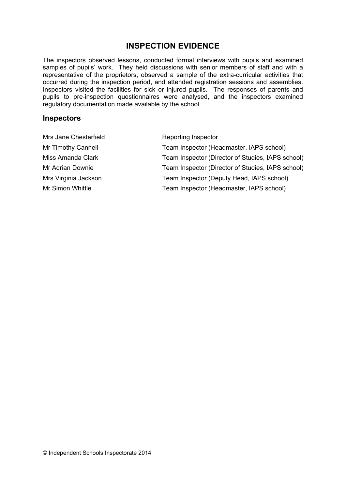# **INSPECTION EVIDENCE**

The inspectors observed lessons, conducted formal interviews with pupils and examined samples of pupils' work. They held discussions with senior members of staff and with a representative of the proprietors, observed a sample of the extra-curricular activities that occurred during the inspection period, and attended registration sessions and assemblies. Inspectors visited the facilities for sick or injured pupils. The responses of parents and pupils to pre-inspection questionnaires were analysed, and the inspectors examined regulatory documentation made available by the school.

#### **Inspectors**

| Mrs Jane Chesterfield | Reporting Inspector                               |
|-----------------------|---------------------------------------------------|
| Mr Timothy Cannell    | Team Inspector (Headmaster, IAPS school)          |
| Miss Amanda Clark     | Team Inspector (Director of Studies, IAPS school) |
| Mr Adrian Downie      | Team Inspector (Director of Studies, IAPS school) |
| Mrs Virginia Jackson  | Team Inspector (Deputy Head, IAPS school)         |
| Mr Simon Whittle      | Team Inspector (Headmaster, IAPS school)          |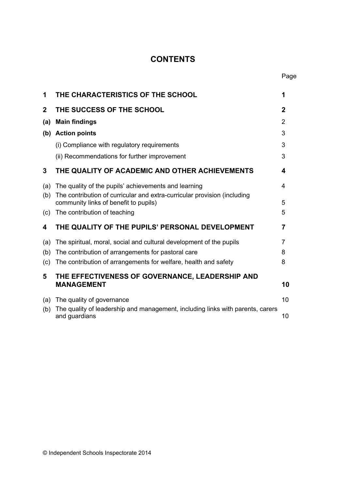# **CONTENTS**

| 1            | THE CHARACTERISTICS OF THE SCHOOL                                                                                 | 1           |
|--------------|-------------------------------------------------------------------------------------------------------------------|-------------|
| $\mathbf{2}$ | THE SUCCESS OF THE SCHOOL                                                                                         | $\mathbf 2$ |
| (a)          | <b>Main findings</b>                                                                                              | 2           |
| (b)          | <b>Action points</b>                                                                                              | 3           |
|              | (i) Compliance with regulatory requirements                                                                       | 3           |
|              | (ii) Recommendations for further improvement                                                                      | 3           |
| 3            | THE QUALITY OF ACADEMIC AND OTHER ACHIEVEMENTS                                                                    | 4           |
| (a)          | The quality of the pupils' achievements and learning                                                              | 4           |
| (b)          | The contribution of curricular and extra-curricular provision (including<br>community links of benefit to pupils) | 5           |
| (c)          | The contribution of teaching                                                                                      | 5           |
| 4            | THE QUALITY OF THE PUPILS' PERSONAL DEVELOPMENT                                                                   | 7           |
| (a)          | The spiritual, moral, social and cultural development of the pupils                                               | 7           |
| (b)          | The contribution of arrangements for pastoral care                                                                | 8           |
| (c)          | The contribution of arrangements for welfare, health and safety                                                   | 8           |
| 5            | THE EFFECTIVENESS OF GOVERNANCE, LEADERSHIP AND                                                                   |             |
|              | <b>MANAGEMENT</b>                                                                                                 | 10          |
| (a)          | The quality of governance                                                                                         | 10          |
| (b)          | The quality of leadership and management, including links with parents, carers<br>and guardians                   | 10          |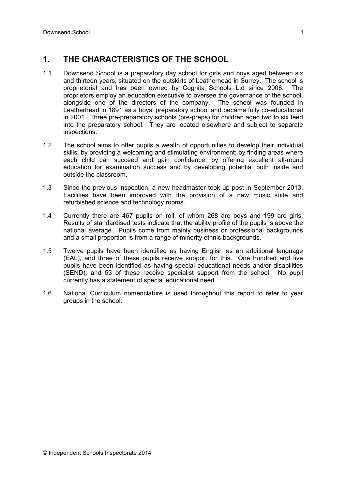## **1. THE CHARACTERISTICS OF THE SCHOOL**

- 1.1 Downsend School is a preparatory day school for girls and boys aged between six and thirteen years, situated on the outskirts of Leatherhead in Surrey. The school is proprietorial and has been owned by Cognita Schools Ltd since 2006. The proprietors employ an education executive to oversee the governance of the school, alongside one of the directors of the company. The school was founded in Leatherhead in 1891 as a boys' preparatory school and became fully co-educational in 2001. Three pre-preparatory schools (pre-preps) for children aged two to six feed into the preparatory school. They are located elsewhere and subject to separate inspections.
- 1.2 The school aims to offer pupils a wealth of opportunities to develop their individual skills, by providing a welcoming and stimulating environment; by finding areas where each child can succeed and gain confidence; by offering excellent all-round education for examination success and by developing potential both inside and outside the classroom.
- 1.3 Since the previous inspection, a new headmaster took up post in September 2013. Facilities have been improved with the provision of a new music suite and refurbished science and technology rooms.
- 1.4 Currently there are 467 pupils on roll, of whom 268 are boys and 199 are girls. Results of standardised tests indicate that the ability profile of the pupils is above the national average. Pupils come from mainly business or professional backgrounds and a small proportion is from a range of minority ethnic backgrounds.
- 1.5 Twelve pupils have been identified as having English as an additional language (EAL), and three of these pupils receive support for this. One hundred and five pupils have been identified as having special educational needs and/or disabilities (SEND), and 53 of these receive specialist support from the school. No pupil currently has a statement of special educational need.
- 1.6 National Curriculum nomenclature is used throughout this report to refer to year groups in the school.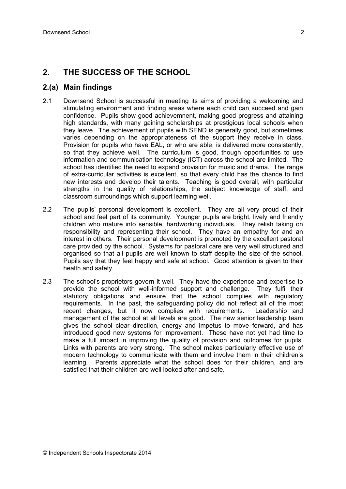## **2. THE SUCCESS OF THE SCHOOL**

#### **2.(a) Main findings**

- 2.1 Downsend School is successful in meeting its aims of providing a welcoming and stimulating environment and finding areas where each child can succeed and gain confidence. Pupils show good achievemnent, making good progress and attaining high standards, with many gaining scholarships at prestigious local schools when they leave. The achievement of pupils with SEND is generally good, but sometimes varies depending on the appropriateness of the support they receive in class. Provision for pupils who have EAL, or who are able, is delivered more consistently, so that they achieve well. The curriculum is good, though opportunities to use information and communication technology (ICT) across the school are limited. The school has identified the need to expand provision for music and drama. The range of extra-curricular activities is excellent, so that every child has the chance to find new interests and develop their talents. Teaching is good overall, with particular strengths in the quality of relationships, the subject knowledge of staff, and classroom surroundings which support learning well.
- 2.2 The pupils' personal development is excellent. They are all very proud of their school and feel part of its community. Younger pupils are bright, lively and friendly children who mature into sensible, hardworking individuals. They relish taking on responsibility and representing their school. They have an empathy for and an interest in others. Their personal development is promoted by the excellent pastoral care provided by the school. Systems for pastoral care are very well structured and organised so that all pupils are well known to staff despite the size of the school. Pupils say that they feel happy and safe at school. Good attention is given to their health and safety.
- 2.3 The school's proprietors govern it well. They have the experience and expertise to provide the school with well-informed support and challenge. They fulfil their statutory obligations and ensure that the school complies with regulatory requirements. In the past, the safeguarding policy did not reflect all of the most recent changes, but it now complies with requirements. Leadership and management of the school at all levels are good. The new senior leadership team gives the school clear direction, energy and impetus to move forward, and has introduced good new systems for improvement. These have not yet had time to make a full impact in improving the quality of provision and outcomes for pupils. Links with parents are very strong. The school makes particularly effective use of modern technology to communicate with them and involve them in their children's learning. Parents appreciate what the school does for their children, and are satisfied that their children are well looked after and safe.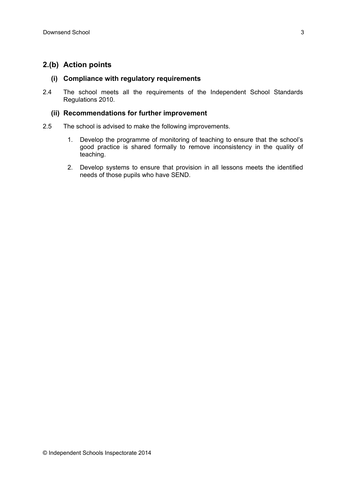## **2.(b) Action points**

#### **(i) Compliance with regulatory requirements**

2.4 The school meets all the requirements of the Independent School Standards Regulations 2010.

#### **(ii) Recommendations for further improvement**

- 2.5 The school is advised to make the following improvements.
	- 1. Develop the programme of monitoring of teaching to ensure that the school's good practice is shared formally to remove inconsistency in the quality of teaching.
	- 2. Develop systems to ensure that provision in all lessons meets the identified needs of those pupils who have SEND.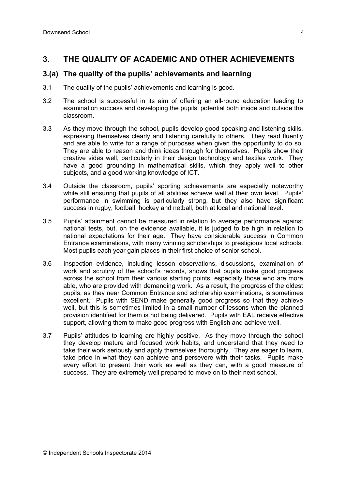## **3. THE QUALITY OF ACADEMIC AND OTHER ACHIEVEMENTS**

### **3.(a) The quality of the pupils' achievements and learning**

- 3.1 The quality of the pupils' achievements and learning is good.
- 3.2 The school is successful in its aim of offering an all-round education leading to examination success and developing the pupils' potential both inside and outside the classroom.
- 3.3 As they move through the school, pupils develop good speaking and listening skills, expressing themselves clearly and listening carefully to others. They read fluently and are able to write for a range of purposes when given the opportunity to do so. They are able to reason and think ideas through for themselves. Pupils show their creative sides well, particularly in their design technology and textiles work. They have a good grounding in mathematical skills, which they apply well to other subjects, and a good working knowledge of ICT.
- 3.4 Outside the classroom, pupils' sporting achievements are especially noteworthy while still ensuring that pupils of all abilities achieve well at their own level. Pupils' performance in swimming is particularly strong, but they also have significant success in rugby, football, hockey and netball, both at local and national level.
- 3.5 Pupils' attainment cannot be measured in relation to average performance against national tests, but, on the evidence available, it is judged to be high in relation to national expectations for their age. They have considerable success in Common Entrance examinations, with many winning scholarships to prestigious local schools. Most pupils each year gain places in their first choice of senior school.
- 3.6 Inspection evidence, including lesson observations, discussions, examination of work and scrutiny of the school's records, shows that pupils make good progress across the school from their various starting points, especially those who are more able, who are provided with demanding work. As a result, the progress of the oldest pupils, as they near Common Entrance and scholarship examinations, is sometimes excellent. Pupils with SEND make generally good progress so that they achieve well, but this is sometimes limited in a small number of lessons when the planned provision identified for them is not being delivered. Pupils with EAL receive effective support, allowing them to make good progress with English and achieve well.
- 3.7 Pupils' attitudes to learning are highly positive. As they move through the school they develop mature and focused work habits, and understand that they need to take their work seriously and apply themselves thoroughly. They are eager to learn, take pride in what they can achieve and persevere with their tasks. Pupils make every effort to present their work as well as they can, with a good measure of success. They are extremely well prepared to move on to their next school.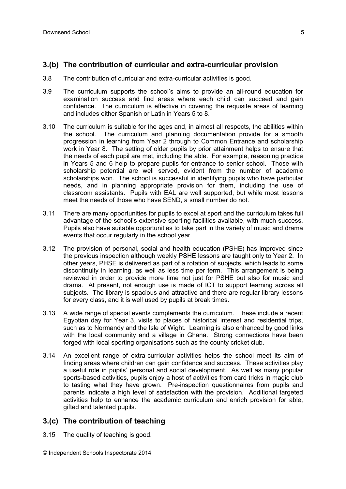## **3.(b) The contribution of curricular and extra-curricular provision**

- 3.8 The contribution of curricular and extra-curricular activities is good.
- 3.9 The curriculum supports the school's aims to provide an all-round education for examination success and find areas where each child can succeed and gain confidence. The curriculum is effective in covering the requisite areas of learning and includes either Spanish or Latin in Years 5 to 8.
- 3.10 The curriculum is suitable for the ages and, in almost all respects, the abilities within the school. The curriculum and planning documentation provide for a smooth progression in learning from Year 2 through to Common Entrance and scholarship work in Year 8. The setting of older pupils by prior attainment helps to ensure that the needs of each pupil are met, including the able. For example, reasoning practice in Years 5 and 6 help to prepare pupils for entrance to senior school. Those with scholarship potential are well served, evident from the number of academic scholarships won. The school is successful in identifying pupils who have particular needs, and in planning appropriate provision for them, including the use of classroom assistants. Pupils with EAL are well supported, but while most lessons meet the needs of those who have SEND, a small number do not.
- 3.11 There are many opportunities for pupils to excel at sport and the curriculum takes full advantage of the school's extensive sporting facilities available, with much success. Pupils also have suitable opportunities to take part in the variety of music and drama events that occur regularly in the school year.
- 3.12 The provision of personal, social and health education (PSHE) has improved since the previous inspection although weekly PSHE lessons are taught only to Year 2. In other years, PHSE is delivered as part of a rotation of subjects, which leads to some discontinuity in learning, as well as less time per term. This arrangement is being reviewed in order to provide more time not just for PSHE but also for music and drama. At present, not enough use is made of ICT to support learning across all subjects. The library is spacious and attractive and there are regular library lessons for every class, and it is well used by pupils at break times.
- 3.13 A wide range of special events complements the curriculum. These include a recent Egyptian day for Year 3, visits to places of historical interest and residential trips, such as to Normandy and the Isle of Wight. Learning is also enhanced by good links with the local community and a village in Ghana. Strong connections have been forged with local sporting organisations such as the county cricket club.
- 3.14 An excellent range of extra-curricular activities helps the school meet its aim of finding areas where children can gain confidence and success. These activities play a useful role in pupils' personal and social development. As well as many popular sports-based activities, pupils enjoy a host of activities from card tricks in magic club to tasting what they have grown. Pre-inspection questionnaires from pupils and parents indicate a high level of satisfaction with the provision. Additional targeted activities help to enhance the academic curriculum and enrich provision for able, gifted and talented pupils.

### **3.(c) The contribution of teaching**

- 3.15 The quality of teaching is good.
- © Independent Schools Inspectorate 2014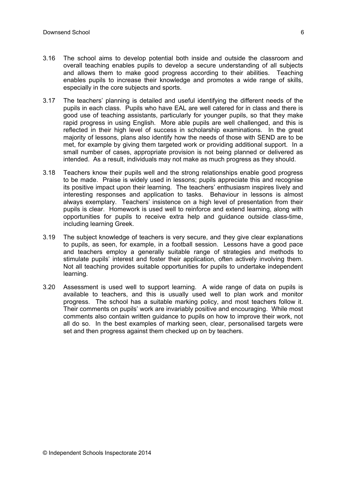- 3.16 The school aims to develop potential both inside and outside the classroom and overall teaching enables pupils to develop a secure understanding of all subjects and allows them to make good progress according to their abilities. Teaching enables pupils to increase their knowledge and promotes a wide range of skills, especially in the core subjects and sports.
- 3.17 The teachers' planning is detailed and useful identifying the different needs of the pupils in each class. Pupils who have EAL are well catered for in class and there is good use of teaching assistants, particularly for younger pupils, so that they make rapid progress in using English. More able pupils are well challenged, and this is reflected in their high level of success in scholarship examinations. In the great majority of lessons, plans also identify how the needs of those with SEND are to be met, for example by giving them targeted work or providing additional support. In a small number of cases, appropriate provision is not being planned or delivered as intended. As a result, individuals may not make as much progress as they should.
- 3.18 Teachers know their pupils well and the strong relationships enable good progress to be made. Praise is widely used in lessons; pupils appreciate this and recognise its positive impact upon their learning. The teachers' enthusiasm inspires lively and interesting responses and application to tasks. Behaviour in lessons is almost always exemplary. Teachers' insistence on a high level of presentation from their pupils is clear. Homework is used well to reinforce and extend learning, along with opportunities for pupils to receive extra help and guidance outside class-time, including learning Greek.
- 3.19 The subject knowledge of teachers is very secure, and they give clear explanations to pupils, as seen, for example, in a football session. Lessons have a good pace and teachers employ a generally suitable range of strategies and methods to stimulate pupils' interest and foster their application, often actively involving them. Not all teaching provides suitable opportunities for pupils to undertake independent learning.
- 3.20 Assessment is used well to support learning. A wide range of data on pupils is available to teachers, and this is usually used well to plan work and monitor progress. The school has a suitable marking policy, and most teachers follow it. Their comments on pupils' work are invariably positive and encouraging. While most comments also contain written guidance to pupils on how to improve their work, not all do so. In the best examples of marking seen, clear, personalised targets were set and then progress against them checked up on by teachers.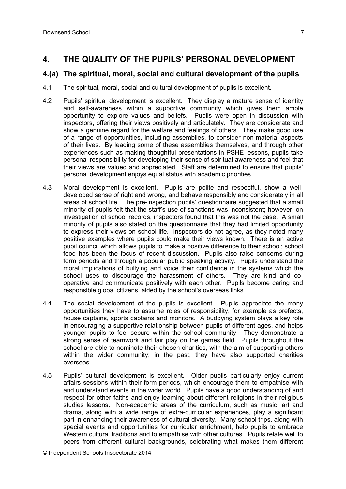## **4. THE QUALITY OF THE PUPILS' PERSONAL DEVELOPMENT**

## **4.(a) The spiritual, moral, social and cultural development of the pupils**

- 4.1 The spiritual, moral, social and cultural development of pupils is excellent.
- 4.2 Pupils' spiritual development is excellent. They display a mature sense of identity and self-awareness within a supportive community which gives them ample opportunity to explore values and beliefs. Pupils were open in discussion with inspectors, offering their views positively and articulately. They are considerate and show a genuine regard for the welfare and feelings of others. They make good use of a range of opportunities, including assemblies, to consider non-material aspects of their lives. By leading some of these assemblies themselves, and through other experiences such as making thoughtful presentations in PSHE lessons, pupils take personal responsibility for developing their sense of spiritual awareness and feel that their views are valued and appreciated. Staff are determined to ensure that pupils' personal development enjoys equal status with academic priorities.
- 4.3 Moral development is excellent. Pupils are polite and respectful, show a welldeveloped sense of right and wrong, and behave responsibly and considerately in all areas of school life. The pre-inspection pupils' questionnaire suggested that a small minority of pupils felt that the staff's use of sanctions was inconsistent; however, on investigation of school records, inspectors found that this was not the case. A small minority of pupils also stated on the questionnaire that they had limited opportunity to express their views on school life. Inspectors do not agree, as they noted many positive examples where pupils could make their views known. There is an active pupil council which allows pupils to make a positive difference to their school; school food has been the focus of recent discussion. Pupils also raise concerns during form periods and through a popular public speaking activity. Pupils understand the moral implications of bullying and voice their confidence in the systems which the school uses to discourage the harassment of others. They are kind and cooperative and communicate positively with each other. Pupils become caring and responsible global citizens, aided by the school's overseas links.
- 4.4 The social development of the pupils is excellent. Pupils appreciate the many opportunities they have to assume roles of responsibility, for example as prefects, house captains, sports captains and monitors. A buddying system plays a key role in encouraging a supportive relationship between pupils of different ages, and helps younger pupils to feel secure within the school community. They demonstrate a strong sense of teamwork and fair play on the games field. Pupils throughout the school are able to nominate their chosen charities, with the aim of supporting others within the wider community; in the past, they have also supported charities overseas.
- 4.5 Pupils' cultural development is excellent. Older pupils particularly enjoy current affairs sessions within their form periods, which encourage them to empathise with and understand events in the wider world. Pupils have a good understanding of and respect for other faiths and enjoy learning about different religions in their religious studies lessons. Non-academic areas of the curriculum, such as music, art and drama, along with a wide range of extra-curricular experiences, play a significant part in enhancing their awareness of cultural diversity. Many school trips, along with special events and opportunities for curricular enrichment, help pupils to embrace Western cultural traditions and to empathise with other cultures. Pupils relate well to peers from different cultural backgrounds, celebrating what makes them different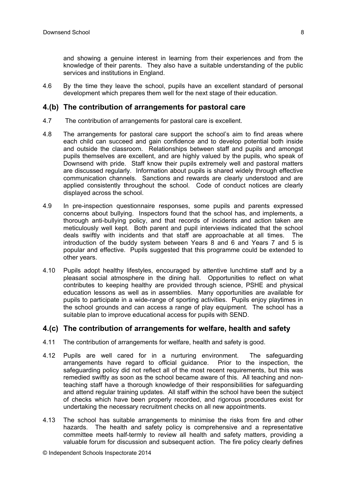and showing a genuine interest in learning from their experiences and from the knowledge of their parents. They also have a suitable understanding of the public services and institutions in England.

4.6 By the time they leave the school, pupils have an excellent standard of personal development which prepares them well for the next stage of their education.

#### **4.(b) The contribution of arrangements for pastoral care**

- 4.7 The contribution of arrangements for pastoral care is excellent.
- 4.8 The arrangements for pastoral care support the school's aim to find areas where each child can succeed and gain confidence and to develop potential both inside and outside the classroom. Relationships between staff and pupils and amongst pupils themselves are excellent, and are highly valued by the pupils, who speak of Downsend with pride. Staff know their pupils extremely well and pastoral matters are discussed regularly. Information about pupils is shared widely through effective communication channels. Sanctions and rewards are clearly understood and are applied consistently throughout the school. Code of conduct notices are clearly displayed across the school.
- 4.9 In pre-inspection questionnaire responses, some pupils and parents expressed concerns about bullying. Inspectors found that the school has, and implements, a thorough anti-bullying policy, and that records of incidents and action taken are meticulously well kept. Both parent and pupil interviews indicated that the school deals swiftly with incidents and that staff are approachable at all times. The introduction of the buddy system between Years 8 and 6 and Years 7 and 5 is popular and effective. Pupils suggested that this programme could be extended to other years.
- 4.10 Pupils adopt healthy lifestyles, encouraged by attentive lunchtime staff and by a pleasant social atmosphere in the dining hall. Opportunities to reflect on what contributes to keeping healthy are provided through science, PSHE and physical education lessons as well as in assemblies. Many opportunities are available for pupils to participate in a wide-range of sporting activities. Pupils enjoy playtimes in the school grounds and can access a range of play equipment. The school has a suitable plan to improve educational access for pupils with SEND.

#### **4.(c) The contribution of arrangements for welfare, health and safety**

- 4.11 The contribution of arrangements for welfare, health and safety is good.
- 4.12 Pupils are well cared for in a nurturing environment. The safeguarding arrangements have regard to official guidance. Prior to the inspection, the safeguarding policy did not reflect all of the most recent requirements, but this was remedied swiftly as soon as the school became aware of this. All teaching and nonteaching staff have a thorough knowledge of their responsibilities for safeguarding and attend regular training updates. All staff within the school have been the subject of checks which have been properly recorded, and rigorous procedures exist for undertaking the necessary recruitment checks on all new appointments.
- 4.13 The school has suitable arrangements to minimise the risks from fire and other hazards. The health and safety policy is comprehensive and a representative committee meets half-termly to review all health and safety matters, providing a valuable forum for discussion and subsequent action. The fire policy clearly defines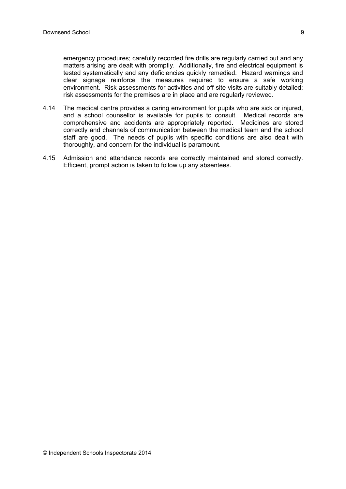emergency procedures; carefully recorded fire drills are regularly carried out and any matters arising are dealt with promptly. Additionally, fire and electrical equipment is tested systematically and any deficiencies quickly remedied. Hazard warnings and clear signage reinforce the measures required to ensure a safe working environment. Risk assessments for activities and off-site visits are suitably detailed; risk assessments for the premises are in place and are regularly reviewed.

- 4.14 The medical centre provides a caring environment for pupils who are sick or injured, and a school counsellor is available for pupils to consult. Medical records are comprehensive and accidents are appropriately reported. Medicines are stored correctly and channels of communication between the medical team and the school staff are good. The needs of pupils with specific conditions are also dealt with thoroughly, and concern for the individual is paramount.
- 4.15 Admission and attendance records are correctly maintained and stored correctly. Efficient, prompt action is taken to follow up any absentees.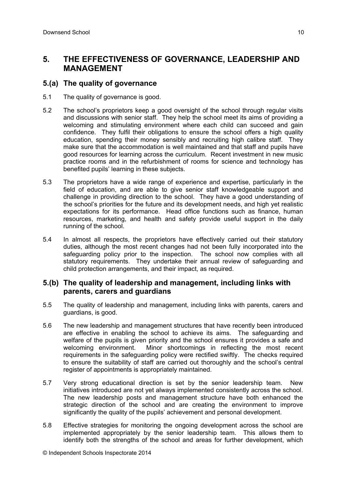## **5. THE EFFECTIVENESS OF GOVERNANCE, LEADERSHIP AND MANAGEMENT**

#### **5.(a) The quality of governance**

- 5.1 The quality of governance is good.
- 5.2 The school's proprietors keep a good oversight of the school through regular visits and discussions with senior staff. They help the school meet its aims of providing a welcoming and stimulating environment where each child can succeed and gain confidence. They fulfil their obligations to ensure the school offers a high quality education, spending their money sensibly and recruiting high calibre staff. They make sure that the accommodation is well maintained and that staff and pupils have good resources for learning across the curriculum. Recent investment in new music practice rooms and in the refurbishment of rooms for science and technology has benefited pupils' learning in these subjects.
- 5.3 The proprietors have a wide range of experience and expertise, particularly in the field of education, and are able to give senior staff knowledgeable support and challenge in providing direction to the school. They have a good understanding of the school's priorities for the future and its development needs, and high yet realistic expectations for its performance. Head office functions such as finance, human resources, marketing, and health and safety provide useful support in the daily running of the school.
- 5.4 In almost all respects, the proprietors have effectively carried out their statutory duties, although the most recent changes had not been fully incorporated into the safeguarding policy prior to the inspection. The school now complies with all statutory requirements. They undertake their annual review of safeguarding and child protection arrangements, and their impact, as required.

#### **5.(b) The quality of leadership and management, including links with parents, carers and guardians**

- 5.5 The quality of leadership and management, including links with parents, carers and guardians, is good.
- 5.6 The new leadership and management structures that have recently been introduced are effective in enabling the school to achieve its aims. The safeguarding and welfare of the pupils is given priority and the school ensures it provides a safe and welcoming environment. Minor shortcomings in reflecting the most recent requirements in the safeguarding policy were rectified swiftly. The checks required to ensure the suitability of staff are carried out thoroughly and the school's central register of appointments is appropriately maintained.
- 5.7 Very strong educational direction is set by the senior leadership team. New initiatives introduced are not yet always implemented consistently across the school. The new leadership posts and management structure have both enhanced the strategic direction of the school and are creating the environment to improve significantly the quality of the pupils' achievement and personal development.
- 5.8 Effective strategies for monitoring the ongoing development across the school are implemented appropriately by the senior leadership team. This allows them to identify both the strengths of the school and areas for further development, which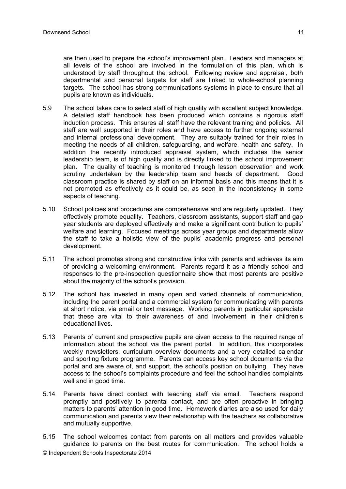are then used to prepare the school's improvement plan. Leaders and managers at all levels of the school are involved in the formulation of this plan, which is understood by staff throughout the school. Following review and appraisal, both departmental and personal targets for staff are linked to whole-school planning targets. The school has strong communications systems in place to ensure that all pupils are known as individuals.

- 5.9 The school takes care to select staff of high quality with excellent subject knowledge. A detailed staff handbook has been produced which contains a rigorous staff induction process. This ensures all staff have the relevant training and policies. All staff are well supported in their roles and have access to further ongoing external and internal professional development. They are suitably trained for their roles in meeting the needs of all children, safeguarding, and welfare, health and safety. In addition the recently introduced appraisal system, which includes the senior leadership team, is of high quality and is directly linked to the school improvement plan. The quality of teaching is monitored through lesson observation and work scrutiny undertaken by the leadership team and heads of department. Good classroom practice is shared by staff on an informal basis and this means that it is not promoted as effectively as it could be, as seen in the inconsistency in some aspects of teaching.
- 5.10 School policies and procedures are comprehensive and are regularly updated. They effectively promote equality. Teachers, classroom assistants, support staff and gap year students are deployed effectively and make a significant contribution to pupils' welfare and learning. Focused meetings across year groups and departments allow the staff to take a holistic view of the pupils' academic progress and personal development.
- 5.11 The school promotes strong and constructive links with parents and achieves its aim of providing a welcoming environment. Parents regard it as a friendly school and responses to the pre-inspection questionnaire show that most parents are positive about the majority of the school's provision.
- 5.12 The school has invested in many open and varied channels of communication, including the parent portal and a commercial system for communicating with parents at short notice, via email or text message. Working parents in particular appreciate that these are vital to their awareness of and involvement in their children's educational lives.
- 5.13 Parents of current and prospective pupils are given access to the required range of information about the school via the parent portal. In addition, this incorporates weekly newsletters, curriculum overview documents and a very detailed calendar and sporting fixture programme. Parents can access key school documents via the portal and are aware of, and support, the school's position on bullying. They have access to the school's complaints procedure and feel the school handles complaints well and in good time.
- 5.14 Parents have direct contact with teaching staff via email. Teachers respond promptly and positively to parental contact, and are often proactive in bringing matters to parents' attention in good time. Homework diaries are also used for daily communication and parents view their relationship with the teachers as collaborative and mutually supportive.
- 5.15 The school welcomes contact from parents on all matters and provides valuable guidance to parents on the best routes for communication. The school holds a
- © Independent Schools Inspectorate 2014